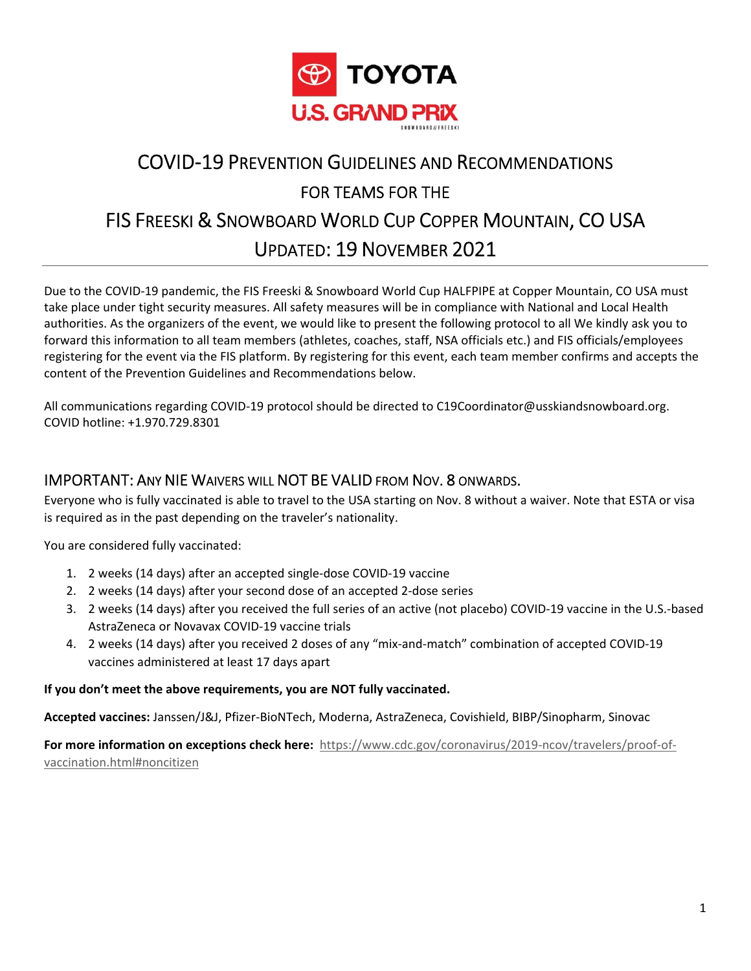

# COVID‐19 PREVENTION GUIDELINES AND RECOMMENDATIONS FOR TEAMS FOR THE FIS FREESKI & SNOWBOARD WORLD CUP COPPER MOUNTAIN, CO USA UPDATED: 19 NOVEMBER 2021

Due to the COVID‐19 pandemic, the FIS Freeski & Snowboard World Cup HALFPIPE at Copper Mountain, CO USA must take place under tight security measures. All safety measures will be in compliance with National and Local Health authorities. As the organizers of the event, we would like to present the following protocol to all We kindly ask you to forward this information to all team members (athletes, coaches, staff, NSA officials etc.) and FIS officials/employees registering for the event via the FIS platform. By registering for this event, each team member confirms and accepts the content of the Prevention Guidelines and Recommendations below.

All communications regarding COVID-19 protocol should be directed to C19Coordinator@usskiandsnowboard.org. COVID hotline: +1.970.729.8301

#### IMPORTANT: ANY NIE WAIVERS WILL NOT BE VALID FROM NOV. 8 ONWARDS.

Everyone who is fully vaccinated is able to travel to the USA starting on Nov. 8 without a waiver. Note that ESTA or visa is required as in the past depending on the traveler's nationality.

You are considered fully vaccinated:

- 1. 2 weeks (14 days) after an accepted single‐dose COVID‐19 vaccine
- 2. 2 weeks (14 days) after your second dose of an accepted 2‐dose series
- 3. 2 weeks (14 days) after you received the full series of an active (not placebo) COVID‐19 vaccine in the U.S.‐based AstraZeneca or Novavax COVID‐19 vaccine trials
- 4. 2 weeks (14 days) after you received 2 doses of any "mix‐and‐match" combination of accepted COVID‐19 vaccines administered at least 17 days apart

#### **If you don't meet the above requirements, you are NOT fully vaccinated.**

**Accepted vaccines:** Janssen/J&J, Pfizer‐BioNTech, Moderna, AstraZeneca, Covishield, BIBP/Sinopharm, Sinovac

For more information on exceptions check here: https://www.cdc.gov/coronavirus/2019-ncov/travelers/proof-ofvaccination.html#noncitizen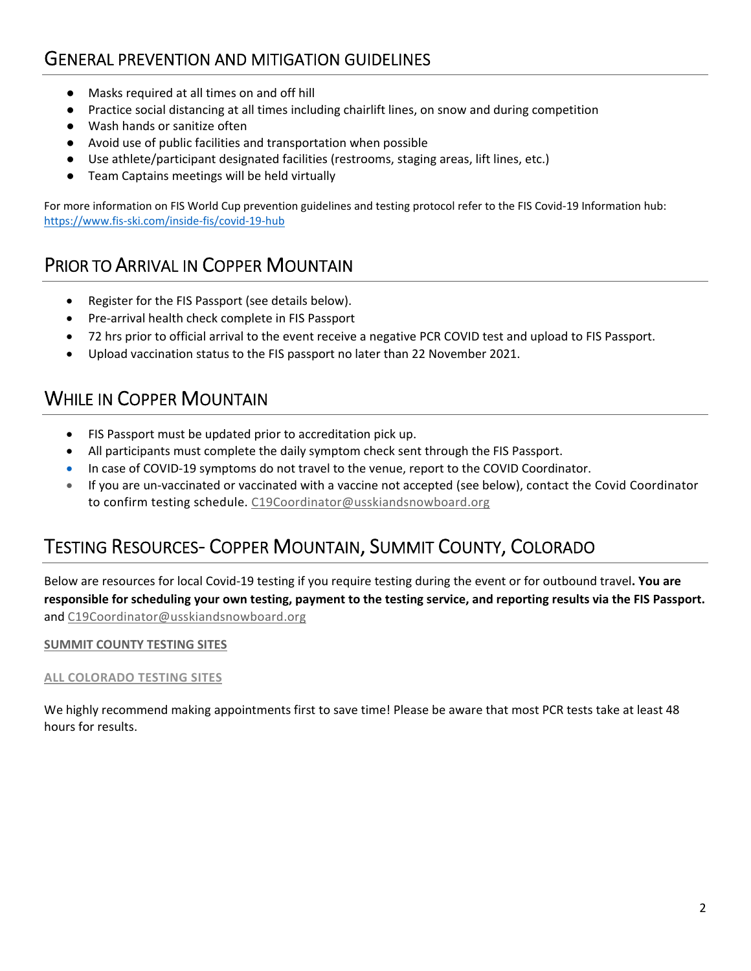### GENERAL PREVENTION AND MITIGATION GUIDELINES

- Masks required at all times on and off hill
- Practice social distancing at all times including chairlift lines, on snow and during competition
- Wash hands or sanitize often
- Avoid use of public facilities and transportation when possible
- Use athlete/participant designated facilities (restrooms, staging areas, lift lines, etc.)
- Team Captains meetings will be held virtually

For more information on FIS World Cup prevention guidelines and testing protocol refer to the FIS Covid‐19 Information hub: https://www.fis‐ski.com/inside‐fis/covid‐19‐hub

### PRIOR TO ARRIVAL IN COPPER MOUNTAIN

- Register for the FIS Passport (see details below).
- Pre-arrival health check complete in FIS Passport
- 72 hrs prior to official arrival to the event receive a negative PCR COVID test and upload to FIS Passport.
- Upload vaccination status to the FIS passport no later than 22 November 2021.

### WHILE IN COPPER MOUNTAIN

- FIS Passport must be updated prior to accreditation pick up.
- All participants must complete the daily symptom check sent through the FIS Passport.
- In case of COVID‐19 symptoms do not travel to the venue, report to the COVID Coordinator.
- If you are un‐vaccinated or vaccinated with a vaccine not accepted (see below), contact the Covid Coordinator to confirm testing schedule. C19Coordinator@usskiandsnowboard.org

## TESTING RESOURCES‐ COPPER MOUNTAIN, SUMMIT COUNTY, COLORADO

Below are resources for local Covid‐19 testing if you require testing during the event or for outbound travel**. You are responsible for scheduling your own testing, payment to the testing service, and reporting results via the FIS Passport.** and C19Coordinator@usskiandsnowboard.org

#### **[SUMMIT COUNTY TESTING SITES](https://summitcountyco.gov/1324/Testing)**

#### **[ALL COLORADO TESTING SITES](https://covid19.colorado.gov/testing)**

We highly recommend making appointments first to save time! Please be aware that most PCR tests take at least 48 hours for results.